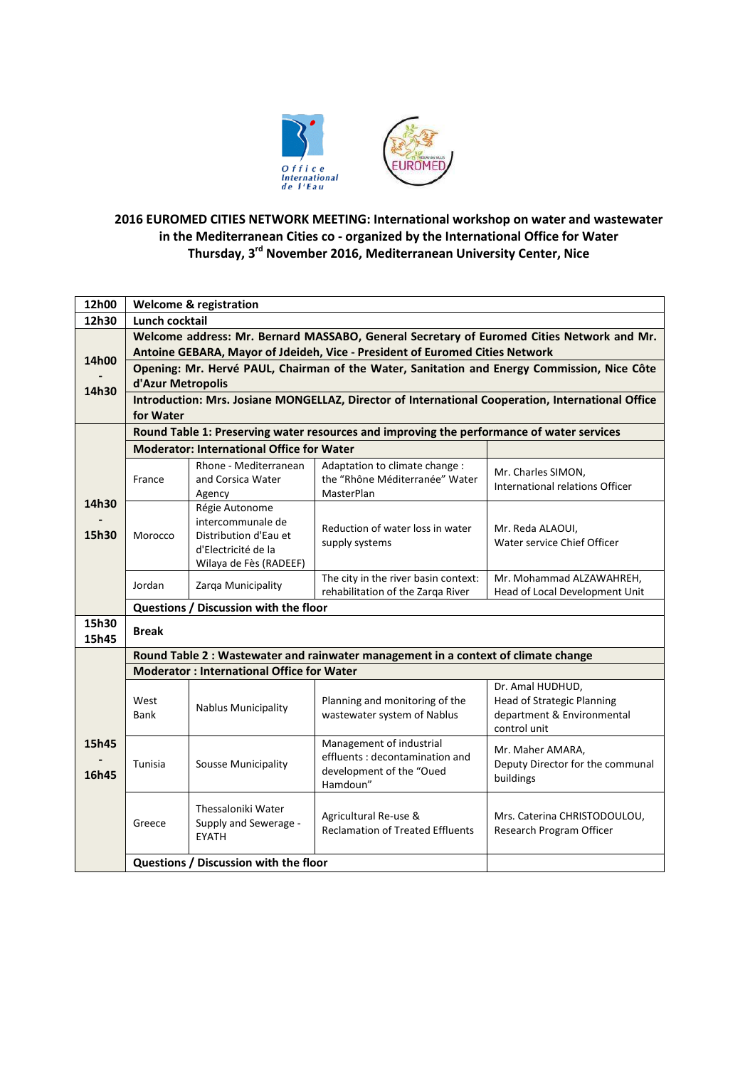

## **2016 EUROMED CITIES NETWORK MEETING: International workshop on water and wastewater in the Mediterranean Cities co - organized by the International Office for Water Thursday, 3 rd November 2016, Mediterranean University Center, Nice**

| 12h00          | <b>Welcome &amp; registration</b>                                                                                                                                         |                                                                                                               |                                                                                                    |                                                                                                     |  |
|----------------|---------------------------------------------------------------------------------------------------------------------------------------------------------------------------|---------------------------------------------------------------------------------------------------------------|----------------------------------------------------------------------------------------------------|-----------------------------------------------------------------------------------------------------|--|
| 12h30          | Lunch cocktail                                                                                                                                                            |                                                                                                               |                                                                                                    |                                                                                                     |  |
| 14h00          | Welcome address: Mr. Bernard MASSABO, General Secretary of Euromed Cities Network and Mr.<br>Antoine GEBARA, Mayor of Jdeideh, Vice - President of Euromed Cities Network |                                                                                                               |                                                                                                    |                                                                                                     |  |
|                | Opening: Mr. Hervé PAUL, Chairman of the Water, Sanitation and Energy Commission, Nice Côte                                                                               |                                                                                                               |                                                                                                    |                                                                                                     |  |
| 14h30          | d'Azur Metropolis                                                                                                                                                         |                                                                                                               |                                                                                                    |                                                                                                     |  |
|                | Introduction: Mrs. Josiane MONGELLAZ, Director of International Cooperation, International Office<br>for Water                                                            |                                                                                                               |                                                                                                    |                                                                                                     |  |
|                | Round Table 1: Preserving water resources and improving the performance of water services                                                                                 |                                                                                                               |                                                                                                    |                                                                                                     |  |
|                | <b>Moderator: International Office for Water</b>                                                                                                                          |                                                                                                               |                                                                                                    |                                                                                                     |  |
| 14h30<br>15h30 | France                                                                                                                                                                    | Rhone - Mediterranean<br>and Corsica Water<br>Agency                                                          | Adaptation to climate change :<br>the "Rhône Méditerranée" Water<br>MasterPlan                     | Mr. Charles SIMON,<br>International relations Officer                                               |  |
|                | Morocco                                                                                                                                                                   | Régie Autonome<br>intercommunale de<br>Distribution d'Eau et<br>d'Electricité de la<br>Wilaya de Fès (RADEEF) | Reduction of water loss in water<br>supply systems                                                 | Mr. Reda ALAOUI,<br>Water service Chief Officer                                                     |  |
|                | Jordan                                                                                                                                                                    | Zarqa Municipality                                                                                            | The city in the river basin context:<br>rehabilitation of the Zarga River                          | Mr. Mohammad ALZAWAHREH,<br>Head of Local Development Unit                                          |  |
|                | Questions / Discussion with the floor                                                                                                                                     |                                                                                                               |                                                                                                    |                                                                                                     |  |
| 15h30<br>15h45 | <b>Break</b>                                                                                                                                                              |                                                                                                               |                                                                                                    |                                                                                                     |  |
|                | Round Table 2 : Wastewater and rainwater management in a context of climate change                                                                                        |                                                                                                               |                                                                                                    |                                                                                                     |  |
|                | <b>Moderator: International Office for Water</b>                                                                                                                          |                                                                                                               |                                                                                                    |                                                                                                     |  |
|                | West<br>Bank                                                                                                                                                              | <b>Nablus Municipality</b>                                                                                    | Planning and monitoring of the<br>wastewater system of Nablus                                      | Dr. Amal HUDHUD,<br><b>Head of Strategic Planning</b><br>department & Environmental<br>control unit |  |
| 15h45<br>16h45 | Tunisia                                                                                                                                                                   | <b>Sousse Municipality</b>                                                                                    | Management of industrial<br>effluents: decontamination and<br>development of the "Oued<br>Hamdoun" | Mr. Maher AMARA,<br>Deputy Director for the communal<br>buildings                                   |  |
|                | Greece                                                                                                                                                                    | Thessaloniki Water<br>Supply and Sewerage -<br><b>EYATH</b>                                                   | Agricultural Re-use &<br><b>Reclamation of Treated Effluents</b>                                   | Mrs. Caterina CHRISTODOULOU,<br>Research Program Officer                                            |  |
|                |                                                                                                                                                                           | Questions / Discussion with the floor                                                                         |                                                                                                    |                                                                                                     |  |